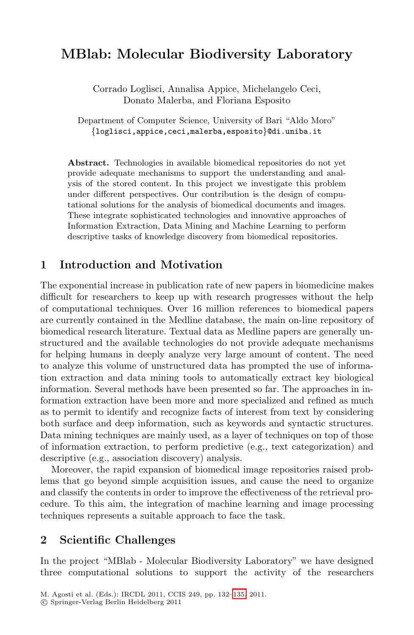# **MBlab: Molecular Biodiversity Laboratory**

Corrado Loglisci, Annalisa Appice, Michelangelo Ceci, Donato Malerba, and Floriana Esposito

Department of Computer Science, University of Bari "Aldo Moro" *{*loglisci,appice,ceci,malerba,esposito*}*@di.uniba.it

**Abstract.** Technologies in available biomedical repositories do not yet provide adequate mechanisms to support the understanding and analysis of the stored content. In this project we investigate this problem under different perspectives. Our contribution is the design of computational solutions for the analysis of biomedical documents and images. These integrate sophisticated technologies and innovative approaches of Information Extraction, Data Mining and Machine Learning to perform descriptive tasks of knowledge discovery from biomedical repositories.

### **1 Introduction and Motivation**

The exponential increase in publication rate of new papers in biomedicine makes difficult for researchers to keep up with research progresses without the help of computational techniques. Over 16 million references to biomedical papers are currently contained in the Medline database, the main on-line repository of biomedical research literature. Textual data as Medline papers are generally unstructured and the available technologies do not provide adequate mechanisms for helping humans in deeply analyze very large amount of content. The need to analyze this volume of unstructured data has prompted the use of information extraction and data mining tools to automatically extract key biological information. Several methods have been presented so far. The approaches in information extraction have been more and more specialized and refined as much as to permit to identify and recognize facts of interest from text by considering both surface and deep information, such as keywords and syntactic structures. Data mining techniques are mainly used, as a layer of techniques on top of those of information extraction, to perform predictive (e.g., text categorization) and descriptive (e.g., association discovery) analysis.

Moreover, the rapid expansion of biomedical image repositories raised problems that go beyond simple acquisition issues, and cause the need to organize and classify the contents in order to improve the effectiveness of the retrieval procedure. To this aim, the i[nteg](#page-3-0)ration of machine learning and image processing techniques represents a suitable approach to face the task.

## **2 Scientific Challenges**

In the project "MBlab - Molecular Biodiversity Laboratory" we have designed three computational solutions to support the activity of the researchers

M. Agosti et al. (Eds.): IRCDL 2011, CCIS 249, pp. 132–135, 2011.

-c Springer-Verlag Berlin Heidelberg 2011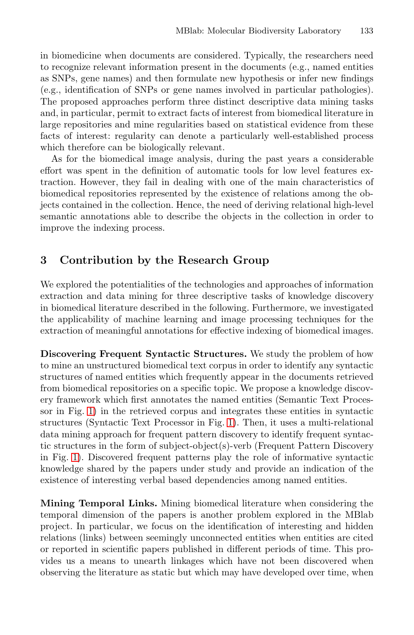in biomedicine when documents are considered. Typically, the researchers need to recognize relevant information present in the documents (e.g., named entities as SNPs, gene names) and then formulate new hypothesis or infer new findings (e.g., identification of SNPs or gene names involved in particular pathologies). The proposed approaches perform three distinct descriptive data mining tasks and, in particular, permit to extract facts of interest from biomedical literature in large repositories and mine regularities based on statistical evidence from these facts of interest: regularity can denote a particularly well-established process which therefore can be biologically relevant.

As for the biomedical image analysis, during the past years a considerable effort was spent in the definition of automatic tools for low level features extraction. However, they fail in dealing with one of the main characteristics of biomedical repositories represented by the existence of relations among the objects contained in the collection. Hence, the need of deriving relational high-level semantic annotations able to describe the objects in the collection in order to improve the indexing process.

### **3 Contribution by the Research Group**

We explored the potentialities of the technologies and approaches of information extraction and data mining for three descriptive tasks of knowledge discovery in biomedical literature described in the following. Furthermore, we investigated the applicability of machine learning and image processing techniques for the extraction of meaningful [ann](#page-2-0)otations for effective indexing of biomedical images.

**Discovering Frequent Syntactic Structures.** We study the problem of how to mine an unstructured biomedical text corpus in order to identify any syntactic structures of named entities which frequently appear in the documents retrieved from biomedical repositories on a specific topic. We propose a knowledge discovery framework which first annotates the named entities (Semantic Text Processor in Fig. 1) in the retrieved corpus and integrates these entities in syntactic structures (Syntactic Text Processor in Fig. 1). Then, it uses a multi-relational data mining approach for frequent pattern discovery to identify frequent syntactic structures in the form of subject-object(s)-verb (Frequent Pattern Discovery in Fig. 1). Discovered frequent patterns play the role of informative syntactic knowledge shared by the papers under study and provide an indication of the existence of interesting verbal based dependencies among named entities.

**Mining Temporal Links.** Mining biomedical literature when considering the temporal dimension of the papers is another problem explored in the MBlab project. In particular, we focus on the identification of interesting and hidden relations (links) between seemingly unconnected entities when entities are cited or reported in scientific papers published in different periods of time. This provides us a means to unearth linkages which have not been discovered when observing the literature as static but which may have developed over time, when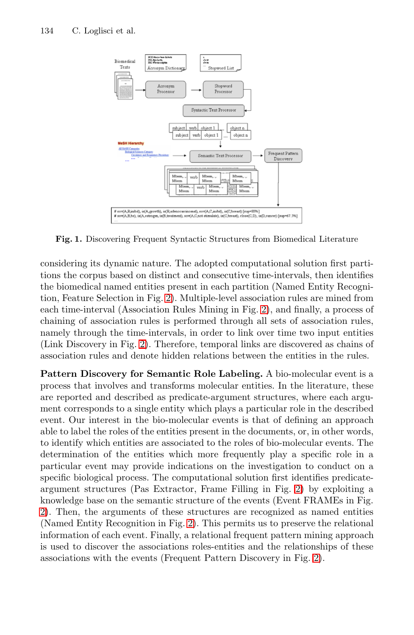#### <span id="page-2-0"></span>134 C. Loglisci et al.



**Fig. 1.** Discovering Frequent Syntactic Structures from Biomedical Literature

cons[id](#page-3-1)ering its dynamic nature. The adopted computational solution first partitions the corpus based on distinct and consecutive time-intervals, then identifies the biomedical named entities present in each partition (Named Entity Recognition, Feature Selection in Fig. 2). Multiple-level association rules are mined from each time-interval (Association Rules Mining in Fig. 2), and finally, a process of chaining of association rules is performed through all sets of association rules, namely through the time-intervals, in order to link over time two input entities (Link Discovery in Fig. 2). Therefore, temporal links are discovered as chains of association rules and denote hidden relations between the entities in the rules.

**Pattern Discovery for Semantic Role Labeling.** A bio-molecular event is a process that involves and transforms molecular entities. In the literature, these are reported and described as predicate-[arg](#page-3-1)ument structures, where each argument corresponds to a single entity which plays a particular role in the described event. Our interest in the bio-molecular events is that of defining an approach able to label the [ro](#page-3-1)les of the entities present in the documents, or, in other words, to identify which entities are associated to the roles of bio-molecular events. The determination of the entities which more frequently play a specific role in a particular event may provide indications on [the](#page-3-1) investigation to conduct on a specific biological process. The computational solution first identifies predicateargument structures (Pas Extractor, Frame Filling in Fig. 2) by exploiting a knowledge base on the semantic structure of the events (Event FRAMEs in Fig. 2). Then, the arguments of these structures are recognized as named entities (Named Entity Recognition in Fig. 2). This permits us to preserve the relational information of each event. Finally, a relational frequent pattern mining approach is used to discover the associations roles-entities and the relationships of these associations with the events (Frequent Pattern Discovery in Fig. 2).